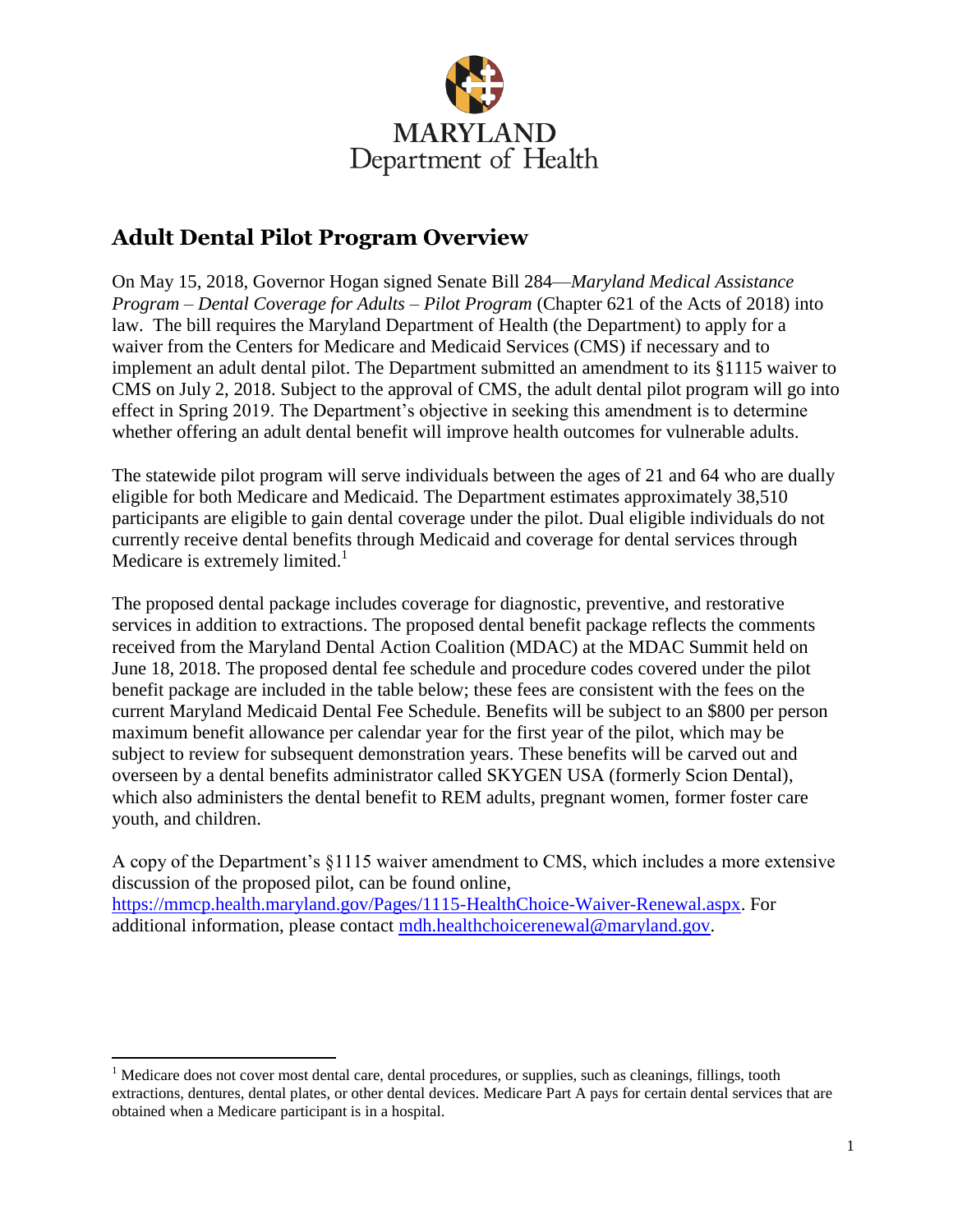

## **Adult Dental Pilot Program Overview**

On May 15, 2018, Governor Hogan signed Senate Bill 284—*Maryland Medical Assistance Program – Dental Coverage for Adults – Pilot Program* (Chapter 621 of the Acts of 2018) into law. The bill requires the Maryland Department of Health (the Department) to apply for a waiver from the Centers for Medicare and Medicaid Services (CMS) if necessary and to implement an adult dental pilot. The Department submitted an amendment to its §1115 waiver to CMS on July 2, 2018. Subject to the approval of CMS, the adult dental pilot program will go into effect in Spring 2019. The Department's objective in seeking this amendment is to determine whether offering an adult dental benefit will improve health outcomes for vulnerable adults.

The statewide pilot program will serve individuals between the ages of 21 and 64 who are dually eligible for both Medicare and Medicaid. The Department estimates approximately 38,510 participants are eligible to gain dental coverage under the pilot. Dual eligible individuals do not currently receive dental benefits through Medicaid and coverage for dental services through Medicare is extremely limited. $<sup>1</sup>$ </sup>

The proposed dental package includes coverage for diagnostic, preventive, and restorative services in addition to extractions. The proposed dental benefit package reflects the comments received from the Maryland Dental Action Coalition (MDAC) at the MDAC Summit held on June 18, 2018. The proposed dental fee schedule and procedure codes covered under the pilot benefit package are included in the table below; these fees are consistent with the fees on the current Maryland Medicaid Dental Fee Schedule. Benefits will be subject to an \$800 per person maximum benefit allowance per calendar year for the first year of the pilot, which may be subject to review for subsequent demonstration years. These benefits will be carved out and overseen by a dental benefits administrator called SKYGEN USA (formerly Scion Dental), which also administers the dental benefit to REM adults, pregnant women, former foster care youth, and children.

A copy of the Department's §1115 waiver amendment to CMS, which includes a more extensive discussion of the proposed pilot, can be found online, [https://mmcp.health.maryland.gov/Pages/1115-HealthChoice-Waiver-Renewal.aspx.](https://mmcp.health.maryland.gov/Pages/1115-HealthChoice-Waiver-Renewal.aspx) For additional information, please contact [mdh.healthchoicerenewal@maryland.gov.](mailto:mdh.healthchoicerenewal@maryland.gov)

 $\overline{a}$ 

<sup>&</sup>lt;sup>1</sup> Medicare does not cover most dental care, dental procedures, or supplies, such as cleanings, fillings, tooth extractions, dentures, dental plates, or other dental devices. Medicare Part A pays for certain dental services that are obtained when a Medicare participant is in a hospital.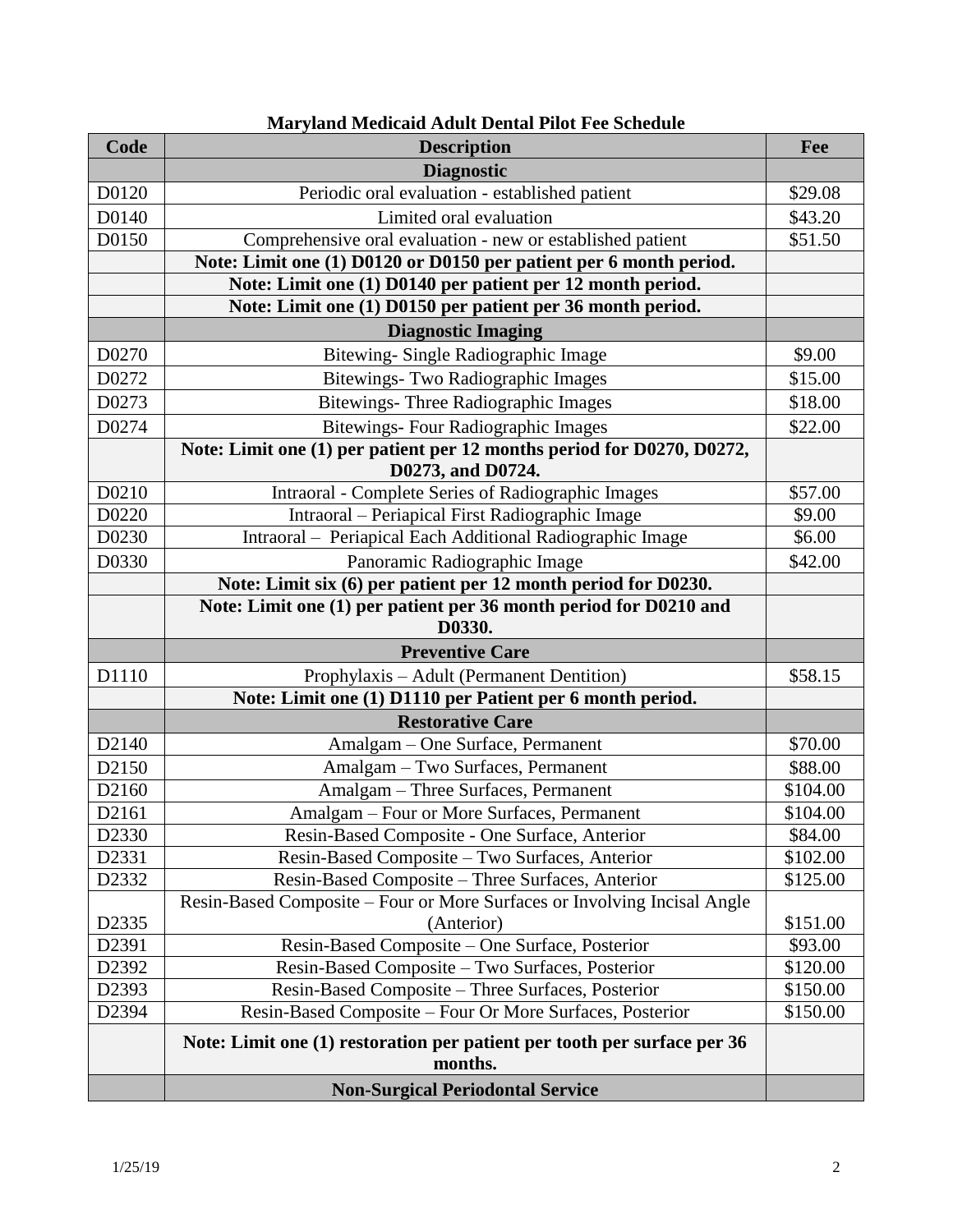| Code              | <b>Description</b>                                                          | Fee      |
|-------------------|-----------------------------------------------------------------------------|----------|
|                   | <b>Diagnostic</b>                                                           |          |
| D0120             | Periodic oral evaluation - established patient                              | \$29.08  |
| D0140             | Limited oral evaluation                                                     | \$43.20  |
| D0150             | Comprehensive oral evaluation - new or established patient                  | \$51.50  |
|                   | Note: Limit one (1) D0120 or D0150 per patient per 6 month period.          |          |
|                   | Note: Limit one (1) D0140 per patient per 12 month period.                  |          |
|                   | Note: Limit one (1) D0150 per patient per 36 month period.                  |          |
|                   | <b>Diagnostic Imaging</b>                                                   |          |
| D0270             | Bitewing-Single Radiographic Image                                          | \$9.00   |
| D0272             | Bitewings- Two Radiographic Images                                          | \$15.00  |
| D0273             | <b>Bitewings- Three Radiographic Images</b>                                 | \$18.00  |
| D0274             | <b>Bitewings-Four Radiographic Images</b>                                   | \$22.00  |
|                   | Note: Limit one (1) per patient per 12 months period for D0270, D0272,      |          |
|                   | D0273, and D0724.                                                           |          |
| D0210             | Intraoral - Complete Series of Radiographic Images                          | \$57.00  |
| D0220             | Intraoral - Periapical First Radiographic Image                             | \$9.00   |
| D0230             | Intraoral - Periapical Each Additional Radiographic Image                   | \$6.00   |
| D0330             | Panoramic Radiographic Image                                                | \$42.00  |
|                   | Note: Limit six (6) per patient per 12 month period for D0230.              |          |
|                   | Note: Limit one (1) per patient per 36 month period for D0210 and<br>D0330. |          |
|                   | <b>Preventive Care</b>                                                      |          |
| D1110             | Prophylaxis – Adult (Permanent Dentition)                                   | \$58.15  |
|                   | Note: Limit one (1) D1110 per Patient per 6 month period.                   |          |
|                   | <b>Restorative Care</b>                                                     |          |
| D2140             | Amalgam - One Surface, Permanent                                            | \$70.00  |
| D2150             | Amalgam - Two Surfaces, Permanent                                           | \$88.00  |
| D2160             | Amalgam - Three Surfaces, Permanent                                         | \$104.00 |
| D2161             | Amalgam - Four or More Surfaces, Permanent                                  | \$104.00 |
| D <sub>2330</sub> | Resin-Based Composite - One Surface, Anterior                               | \$84.00  |
| D2331             | Resin-Based Composite - Two Surfaces, Anterior                              | \$102.00 |
| D2332             | Resin-Based Composite – Three Surfaces, Anterior                            | \$125.00 |
|                   | Resin-Based Composite – Four or More Surfaces or Involving Incisal Angle    |          |
| D2335             | (Anterior)                                                                  | \$151.00 |
| D2391             | Resin-Based Composite – One Surface, Posterior                              | \$93.00  |
| D2392             | Resin-Based Composite - Two Surfaces, Posterior                             | \$120.00 |
| D2393             | Resin-Based Composite - Three Surfaces, Posterior                           | \$150.00 |
| D2394             | Resin-Based Composite – Four Or More Surfaces, Posterior                    | \$150.00 |
|                   | Note: Limit one (1) restoration per patient per tooth per surface per 36    |          |
|                   | months.                                                                     |          |
|                   | <b>Non-Surgical Periodontal Service</b>                                     |          |

## **Maryland Medicaid Adult Dental Pilot Fee Schedule**